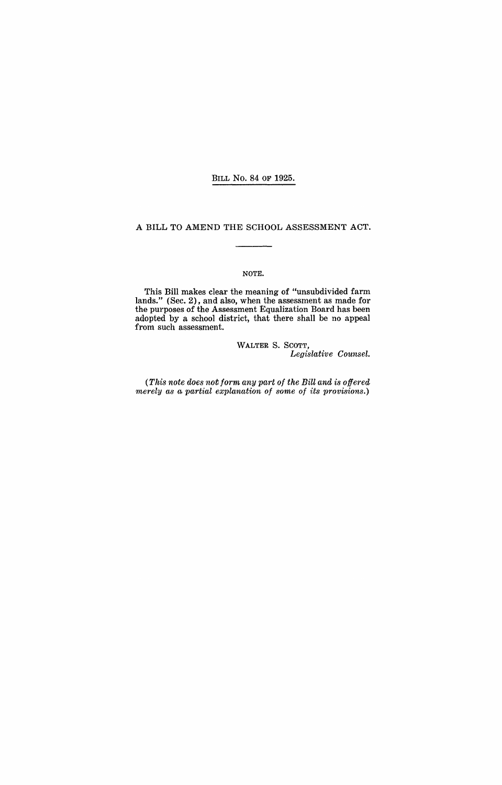BILL No. 84 OF 1925.

A BILL TO AMEND THE SCHOOL ASSESSMENT ACT.

### NOTE.

This Bill makes clear the meaning of "unsubdivided farm lands." (Sec. 2), and also, when the assessment as made for the purposes of the Assessment Equalization Board has been adopted by a school district, that there shall be no appeal from such assessment.

> WALTER S. SCOTT, *Leg'islative Counsel.*

*(This note does not form any part of the Bill and is offered merely as* a. *partial explanation of some of its provisions.)*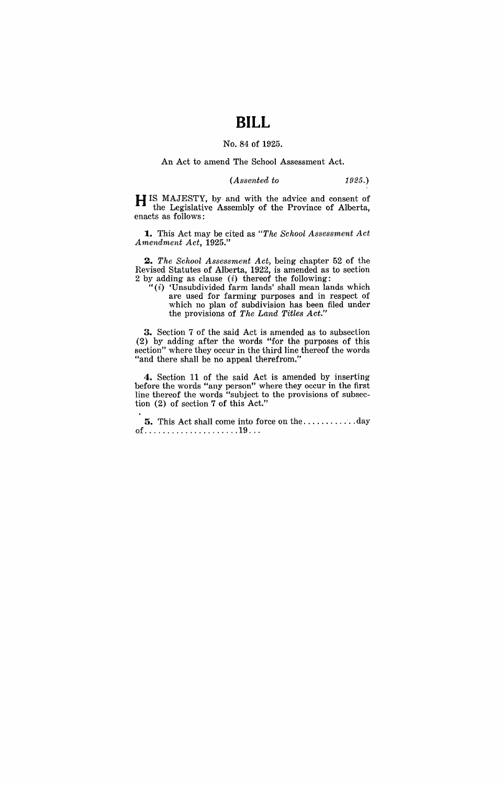# **BILL**

## No. 84 of 1925.

#### An Act to amend The School Assessment Act.

*(Assented to* 1925.)

H IS MAJESTY, by and with the advice and consent of the Legislative Assembly of the Province of Alberta, enacts as follows:

~. This Act may be cited as *"The School Assessment Act Amendment Act, 1925."* 

*2. The School Assessment Act,* being chapter 52. of the Revised Statutes of Alberta, 1922, is amended as to section 2 by adding as clause (i) thereof the following:

" $(i)$  'Unsubdivided farm lands' shall mean lands which are used for farming purposes and in respect of which no plan of subdivision has been filed under the provisions of *The Land Titles Act."* 

**3.** Section 7 of the said Act is amended as to subsection (2) by adding after the words "for the purposes of this section" where they occur in the third line thereof the words "and there shall be no appeal therefrom."

**4.** Section 11 of the said Act is amended by inserting before the words "any person" where they occur in the first line thereof the words "subject to the provisions of subsection (2) of section 7 of this Act."

**5.** This Act shall come into force on the ............. day of ..................... 19 .. .